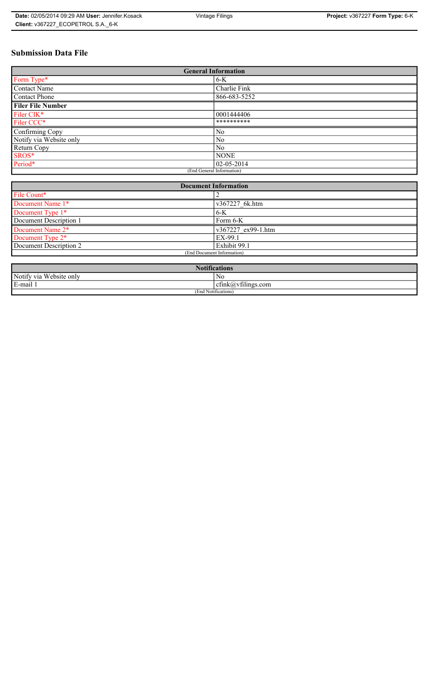# **Submission Data File**

| <b>General Information</b> |                |
|----------------------------|----------------|
| Form Type*                 | 6-K            |
| <b>Contact Name</b>        | Charlie Fink   |
| Contact Phone              | 866-683-5252   |
| <b>Filer File Number</b>   |                |
| Filer CIK*                 | 0001444406     |
| Filer CCC*                 | **********     |
| Confirming Copy            | N <sub>0</sub> |
| Notify via Website only    | No             |
| Return Copy                | No             |
| SROS*                      | <b>NONE</b>    |
| Period*                    | 02-05-2014     |
| (End General Information)  |                |

| <b>Document Information</b>  |                    |
|------------------------------|--------------------|
| File Count*                  |                    |
| Document Name 1*             | v367227 6k.htm     |
| Document Type 1*             | $6-K$              |
| Document Description 1       | Form 6-K           |
| Document Name 2*             | v367227 ex99-1.htm |
| Document Type 2 <sup>*</sup> | EX-99.1            |
| Document Description 2       | Exhibit 99.1       |
| (End Document Information)   |                    |
|                              |                    |

| <b>Notifications</b>       |                                                     |
|----------------------------|-----------------------------------------------------|
| Website only<br>Notify via | N0                                                  |
| $\sim$<br>∟c-mail L        | $\sim$ 1.<br>cfink( <i>a</i> )vfilings.com <b>b</b> |
| (End Notifications)        |                                                     |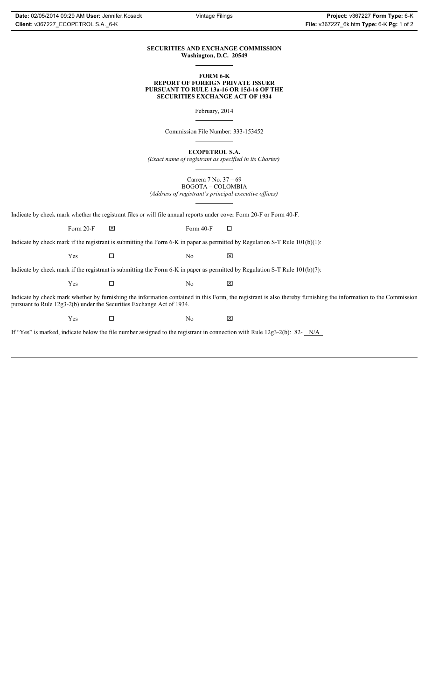### **SECURITIES AND EXCHANGE COMMISSION Washington, D.C. 20549**

#### **FORM 6-K REPORT OF FOREIGN PRIVATE ISSUER PURSUANT TO RULE 13a-16 OR 15d-16 OF THE SECURITIES EXCHANGE ACT OF 1934**

February, 2014

Commission File Number: 333-153452

**ECOPETROL S.A.**

*(Exact name of registrant as specified in its Charter)*

Carrera 7 No. 37 – 69 BOGOTA – COLOMBIA *(Address of registrant's principal executive offices)*

Indicate by check mark whether the registrant files or will file annual reports under cover Form 20-F or Form 40-F.

Form 20-F  $\boxtimes$  Form 40-F  $\Box$ 

Indicate by check mark if the registrant is submitting the Form 6-K in paper as permitted by Regulation S-T Rule 101(b)(1):

 $Yes$   $\Box$  No  $X$ 

Indicate by check mark if the registrant is submitting the Form 6-K in paper as permitted by Regulation S-T Rule 101(b)(7):

 $Yes$   $\Box$  No  $X$ 

Indicate by check mark whether by furnishing the information contained in this Form, the registrant is also thereby furnishing the information to the Commission pursuant to Rule 12g3-2(b) under the Securities Exchange Act of 1934.

 $Yes$   $\Box$  No  $X$ 

If "Yes" is marked, indicate below the file number assigned to the registrant in connection with Rule 12g3-2(b): 82- N/A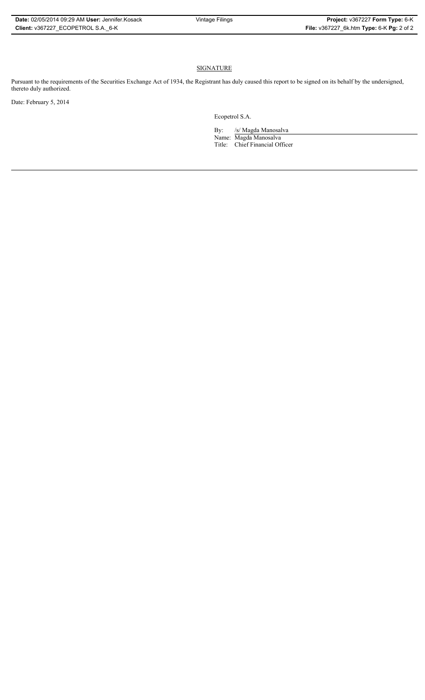## **SIGNATURE**

Pursuant to the requirements of the Securities Exchange Act of 1934, the Registrant has duly caused this report to be signed on its behalf by the undersigned, thereto duly authorized.

Date: February 5, 2014

Ecopetrol S.A.

By: /s/ Magda Manosalva Name: Magda Manosalva Title: Chief Financial Officer